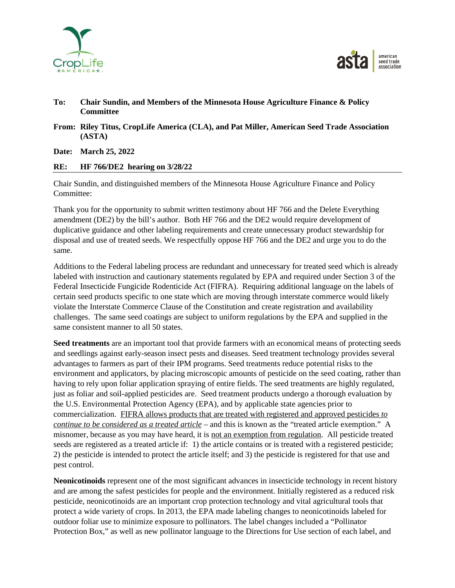



## **To: Chair Sundin, and Members of the Minnesota House Agriculture Finance & Policy Committee**

## **From: Riley Titus, CropLife America (CLA), and Pat Miller, American Seed Trade Association (ASTA)**

**Date: March 25, 2022** 

**RE: HF 766/DE2 hearing on 3/28/22** 

Chair Sundin, and distinguished members of the Minnesota House Agriculture Finance and Policy Committee:

Thank you for the opportunity to submit written testimony about HF 766 and the Delete Everything amendment (DE2) by the bill's author. Both HF 766 and the DE2 would require development of duplicative guidance and other labeling requirements and create unnecessary product stewardship for disposal and use of treated seeds. We respectfully oppose HF 766 and the DE2 and urge you to do the same.

Additions to the Federal labeling process are redundant and unnecessary for treated seed which is already labeled with instruction and cautionary statements regulated by EPA and required under Section 3 of the Federal Insecticide Fungicide Rodenticide Act (FIFRA). Requiring additional language on the labels of certain seed products specific to one state which are moving through interstate commerce would likely violate the Interstate Commerce Clause of the Constitution and create registration and availability challenges. The same seed coatings are subject to uniform regulations by the EPA and supplied in the same consistent manner to all 50 states.

**Seed treatments** are an important tool that provide farmers with an economical means of protecting seeds and seedlings against early-season insect pests and diseases. Seed treatment technology provides several advantages to farmers as part of their IPM programs. Seed treatments reduce potential risks to the environment and applicators, by placing microscopic amounts of pesticide on the seed coating, rather than having to rely upon foliar application spraying of entire fields. The seed treatments are highly regulated, just as foliar and soil-applied pesticides are. Seed treatment products undergo a thorough evaluation by the U.S. Environmental Protection Agency (EPA), and by applicable state agencies prior to commercialization. FIFRA allows products that are treated with registered and approved pesticides *to continue to be considered as a treated article* – and this is known as the "treated article exemption." A misnomer, because as you may have heard, it is not an exemption from regulation. All pesticide treated seeds are registered as a treated article if: 1) the article contains or is treated with a registered pesticide; 2) the pesticide is intended to protect the article itself; and 3) the pesticide is registered for that use and pest control.

**Neonicotinoids** represent one of the most significant advances in insecticide technology in recent history and are among the safest pesticides for people and the environment. Initially registered as a reduced risk pesticide, neonicotinoids are an important crop protection technology and vital agricultural tools that protect a wide variety of crops. In 2013, the EPA made labeling changes to neonicotinoids labeled for outdoor foliar use to minimize exposure to pollinators. The label changes included a "Pollinator Protection Box," as well as new pollinator language to the Directions for Use section of each label, and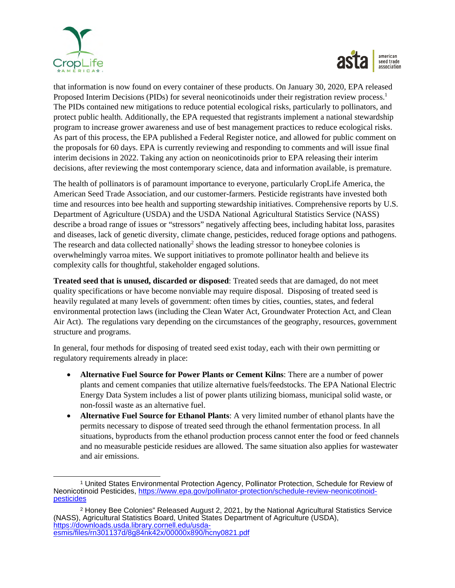



that information is now found on every container of these products. On January 30, 2020, EPA released Proposed Interim Decisions (PIDs) for several neonicotinoids under their registration review process.<sup>1</sup> The PIDs contained new mitigations to reduce potential ecological risks, particularly to pollinators, and protect public health. Additionally, the EPA requested that registrants implement a national stewardship program to increase grower awareness and use of best management practices to reduce ecological risks. As part of this process, the EPA published a Federal Register notice, and allowed for public comment on the proposals for 60 days. EPA is currently reviewing and responding to comments and will issue final interim decisions in 2022. Taking any action on neonicotinoids prior to EPA releasing their interim decisions, after reviewing the most contemporary science, data and information available, is premature.

The health of pollinators is of paramount importance to everyone, particularly CropLife America, the American Seed Trade Association, and our customer-farmers. Pesticide registrants have invested both time and resources into bee health and supporting stewardship initiatives. Comprehensive reports by U.S. Department of Agriculture (USDA) and the USDA National Agricultural Statistics Service (NASS) describe a broad range of issues or "stressors" negatively affecting bees, including habitat loss, parasites and diseases, lack of genetic diversity, climate change, pesticides, reduced forage options and pathogens. The research and data collected nationally<sup>2</sup> shows the leading stressor to honeybee colonies is overwhelmingly varroa mites. We support initiatives to promote pollinator health and believe its complexity calls for thoughtful, stakeholder engaged solutions.

**Treated seed that is unused, discarded or disposed**: Treated seeds that are damaged, do not meet quality specifications or have become nonviable may require disposal. Disposing of treated seed is heavily regulated at many levels of government: often times by cities, counties, states, and federal environmental protection laws (including the Clean Water Act, Groundwater Protection Act, and Clean Air Act). The regulations vary depending on the circumstances of the geography, resources, government structure and programs.

In general, four methods for disposing of treated seed exist today, each with their own permitting or regulatory requirements already in place:

- **Alternative Fuel Source for Power Plants or Cement Kilns**: There are a number of power plants and cement companies that utilize alternative fuels/feedstocks. The EPA National Electric Energy Data System includes a list of power plants utilizing biomass, municipal solid waste, or non-fossil waste as an alternative fuel.
- **Alternative Fuel Source for Ethanol Plants**: A very limited number of ethanol plants have the permits necessary to dispose of treated seed through the ethanol fermentation process. In all situations, byproducts from the ethanol production process cannot enter the food or feed channels and no measurable pesticide residues are allowed. The same situation also applies for wastewater and air emissions.

<sup>1</sup> United States Environmental Protection Agency, Pollinator Protection, Schedule for Review of Neonicotinoid Pesticides, [https://www.epa.gov/pollinator-protection/schedule-review-neonicotinoid](https://www.epa.gov/pollinator-protection/schedule-review-neonicotinoid-pesticides)**pesticides** 

<sup>&</sup>lt;sup>2</sup> Honey Bee Colonies" Released August 2, 2021, by the National Agricultural Statistics Service (NASS), Agricultural Statistics Board, United States Department of Agriculture (USDA), [https://downloads.usda.library.cornell.edu/usda](https://downloads.usda.library.cornell.edu/usda-esmis/files/rn301137d/8g84nk42x/00000x890/hcny0821.pdf)[esmis/files/rn301137d/8g84nk42x/00000x890/hcny0821.pdf](https://downloads.usda.library.cornell.edu/usda-esmis/files/rn301137d/8g84nk42x/00000x890/hcny0821.pdf)